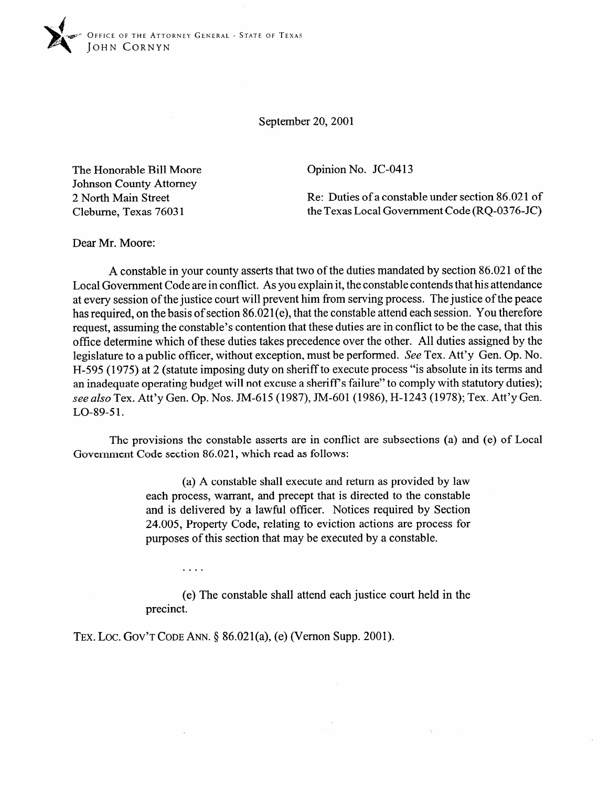September 20,200l

The Honorable Bill Moore Johnson County Attorney 2 North Main Street Cleburne, Texas 7603 1

Opinion No. JC-0413

Re: Duties of a constable under section 86.021 of the Texas Local Government Code (RQ-0376-JC)

Dear Mr. Moore:

A constable in your county asserts that two of the duties mandated by section 86.021 of the Local Government Code are in conflict. As you explain it, the constable contends that his attendance at every session of the justice court will prevent him from serving process. The justice of the peace has required, on the basis of section 86.021(e), that the constable attend each session. You therefore request, assuming the constable's contention that these duties are in conflict to be the case, that this office determine which of these duties takes precedence over the other. All duties assigned by the legislature to a public officer, without exception, must be performed. See Tex. Att'y Gen. Op. No. H-595 (1975) at 2 (statute imposing duty on sheriff to execute process "is absolute in its terms and an inadequate operating budget will not excuse a sheriff's failure" to comply with statutory duties); an inadequate operating budget will not excuse a sheriffs failure  $\frac{1}{1000}$ ;  $\frac{1}{1000}$ ;  $\frac{1}{1000}$ ;  $\frac{1}{1000}$ ;  $\frac{1}{1000}$ ;  $\frac{1}{1000}$ ;  $\frac{1}{1000}$ ;  $\frac{1}{1000}$ ;  $\frac{1}{1000}$ ;  $\frac{1}{1000}$ ;  $\frac{1}{1000}$ ; *see also* Tex. The *j* Gen. Op. Nos. IM-615 (1987), And 881 (1987), IT III is (1978); Tex. III *j* Gen. LO-89-51.

The provisions the constable asserts are in conflict are subsections (a) and (e) of Local Government Code section 86.021, which read as follows:  $G_{\rm eff}$  section 86.02 1, which read as follows:

> (a) A constable shall execute and return as provided by law each process, warrant, and precept that is directed to the constable and is delivered by a lawful officer. Notices required by Section 24.005, Property Code, relating to eviction actions are process for purposes of this section that may be executed by a constable. purposes of this section that may be executed by a constable.

(e) The constable shall attend each justice court held in the  $\mathbf{f}$ 

TEX. LOC. GOV'T CODE ANN. § 86.021(a), (e) (Vernon Supp. 2001).

 $\cdots$ 

 $\sim$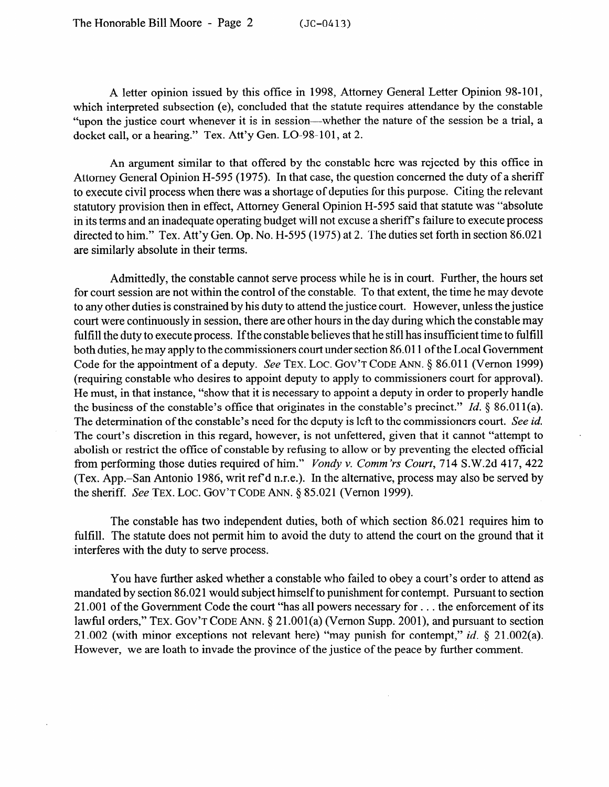A letter opinion issued by this office in 1998, Attorney General Letter Opinion 98-101, which interpreted subsection (e), concluded that the statute requires attendance by the constable "upon the justice court whenever it is in session—whether the nature of the session be a trial, a docket call, or a hearing." Tex. Att'y Gen. LO-98-101, at 2.

An argument similar to that offered by the constable here was rejected by this office in Attorney General Opinion H-595 (1975). In that case, the question concerned the duty of a sheriff to execute civil process when there was a shortage of deputies for this purpose. Citing the relevant statutory provision then in effect, Attorney General Opinion H-595 said that statute was "absolute in its terms and an inadequate operating budget will not excuse a sheriff's failure to execute process directed to him." Tex. Att'y Gen. Op. No. H-595 (1975) at 2. The duties set forth in section 86.021 are similarly absolute in their terms.

Admittedly, the constable cannot serve process while he is in court. Further, the hours set for court session are not within the control of the constable. To that extent, the time he may devote to any other duties is constrained by his duty to attend the justice court. However, unless the justice court were continuously in session, there are other hours in the day during which the constable may fulfill the duty to execute process. If the constable believes that he still has insufficient time to fulfill both duties, he may apply to the commissioners court under section 86.011 of the Local Government Code for the appointment of a deputy. See TEX. LOC. GOV'T CODE ANN. § 86.011 (Vernon 1999) (requiring constable who desires to appoint deputy to apply to commissioners court for approval). He must, in that instance, "show that it is necessary to appoint a deputy in order to properly handle the business of the constable's office that originates in the constable's precinct." Id.  $\S$  86.011(a). The determination of the constable's need for the deputy is left to the commissioners court. See id. The court's discretion in this regard, however, is not unfettered, given that it cannot "attempt to abolish or restrict the office of constable by refusing to allow or by preventing the elected official from performing those duties required of him." *Vondy v. Comm 'rs Court, 714* S.W.2d 417, 422 (Tex. App.-San Antonio 1986, writ ref d n.r.e.). In the alternative, process may also be served by the sheriff. See TEX. LOC. GOV'T CODE ANN. § 85.021 (Vernon 1999).

.

The constable has two independent duties, both of which section 86.021 requires him to fulfill. The statute does not permit him to avoid the duty to attend the court on the ground that it interferes with the duty to serve process.

You have further asked whether a constable who failed to obey a court's order to attend as mandated by section 86.021 would subject himself to punishment for contempt. Pursuant to section 21.001 of the Government Code the court "has all powers necessary for . . . the enforcement of its lawful orders," TEX. GOV'T CODE ANN. § 21.001(a) (Vernon Supp. 2001), and pursuant to section 21.002 (with minor exceptions not relevant here) "may punish for contempt," *id. 8* 21.002(a). However, we are loath to invade the province of the justice of the peace by further comment.